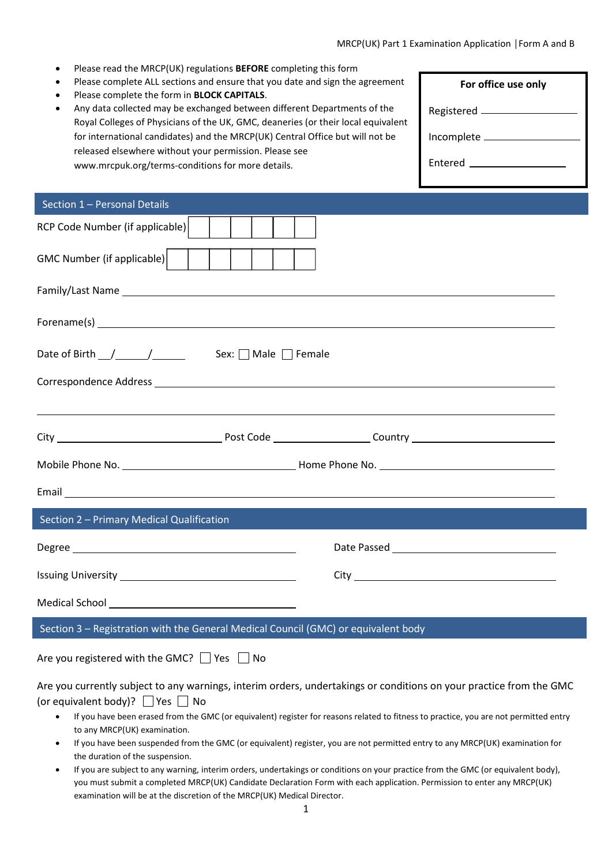- Please read the MRCP(UK) regulations **BEFORE** completing this form
- Please complete ALL sections and ensure that you date and sign the agreement
- Please complete the form in **BLOCK CA**

| Please complete ALL sections and ensure that you date and sign the agreement      | For office use only             |
|-----------------------------------------------------------------------------------|---------------------------------|
| Please complete the form in BLOCK CAPITALS.                                       |                                 |
| Any data collected may be exchanged between different Departments of the          | Registered <u>_____________</u> |
| Royal Colleges of Physicians of the UK, GMC, deaneries (or their local equivalent |                                 |
| for international candidates) and the MRCP(UK) Central Office but will not be     | Incomplete _                    |
| released elsewhere without your permission. Please see                            |                                 |
| www.mrcpuk.org/terms-conditions for more details.                                 | Entered ______________          |
|                                                                                   |                                 |
|                                                                                   |                                 |

Г

| Section 1 - Personal Details                                                       |                                                                                                                                                                                                                                      |  |
|------------------------------------------------------------------------------------|--------------------------------------------------------------------------------------------------------------------------------------------------------------------------------------------------------------------------------------|--|
| RCP Code Number (if applicable)                                                    |                                                                                                                                                                                                                                      |  |
| GMC Number (if applicable)                                                         |                                                                                                                                                                                                                                      |  |
|                                                                                    |                                                                                                                                                                                                                                      |  |
|                                                                                    |                                                                                                                                                                                                                                      |  |
|                                                                                    |                                                                                                                                                                                                                                      |  |
|                                                                                    |                                                                                                                                                                                                                                      |  |
|                                                                                    | <u> 1989 - Johann Stoff, amerikansk politiker (d. 1989)</u>                                                                                                                                                                          |  |
|                                                                                    |                                                                                                                                                                                                                                      |  |
|                                                                                    |                                                                                                                                                                                                                                      |  |
|                                                                                    | Email <b>Exercise Contract Contract Contract Contract Contract Contract Contract Contract Contract Contract Contract Contract Contract Contract Contract Contract Contract Contract Contract Contract Contract Contract Contract</b> |  |
| Section 2 - Primary Medical Qualification                                          |                                                                                                                                                                                                                                      |  |
| Degree                                                                             |                                                                                                                                                                                                                                      |  |
|                                                                                    |                                                                                                                                                                                                                                      |  |
|                                                                                    |                                                                                                                                                                                                                                      |  |
| Section 3 - Registration with the General Medical Council (GMC) or equivalent body |                                                                                                                                                                                                                                      |  |
| Are you registered with the GMC? $\Box$ Yes $\Box$<br>No                           |                                                                                                                                                                                                                                      |  |

Are you currently subject to any warnings, interim orders, undertakings or conditions on your practice from the GMC (or equivalent body)?  $\Box$  Yes  $\Box$  No

- If you have been erased from the GMC (or equivalent) register for reasons related to fitness to practice, you are not permitted entry to any MRCP(UK) examination.
- If you have been suspended from the GMC (or equivalent) register, you are not permitted entry to any MRCP(UK) examination for the duration of the suspension.
- If you are subject to any warning, interim orders, undertakings or conditions on your practice from the GMC (or equivalent body), you must submit a completed MRCP(UK) Candidate Declaration Form with each application. Permission to enter any MRCP(UK) examination will be at the discretion of the MRCP(UK) Medical Director.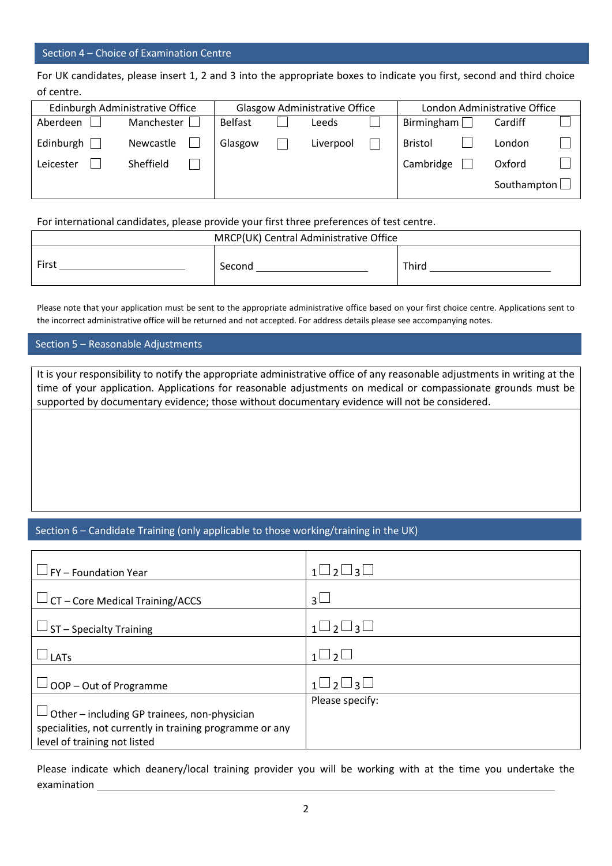## Section 4 – Choice of Examination Centre

For UK candidates, please insert 1, 2 and 3 into the appropriate boxes to indicate you first, second and third choice of centre.

|           | Edinburgh Administrative Office |                | <b>Glasgow Administrative Office</b> |                | London Administrative Office |  |
|-----------|---------------------------------|----------------|--------------------------------------|----------------|------------------------------|--|
| Aberdeen  | Manchester                      | <b>Belfast</b> | Leeds                                | Birmingham     | Cardiff                      |  |
| Edinburgh | Newcastle                       | Glasgow        | Liverpool                            | <b>Bristol</b> | London                       |  |
| Leicester | Sheffield                       |                |                                      | Cambridge      | Oxford                       |  |
|           |                                 |                |                                      |                | Southampton                  |  |

For international candidates, please provide your first three preferences of test centre.

| MRCP(UK) Central Administrative Office |        |       |  |
|----------------------------------------|--------|-------|--|
| First                                  | Second | Third |  |

Please note that your application must be sent to the appropriate administrative office based on your first choice centre. Applications sent to the incorrect administrative office will be returned and not accepted. For address details please see accompanying notes.

## Section 5 – Reasonable Adjustments

It is your responsibility to notify the appropriate administrative office of any reasonable adjustments in writing at the time of your application. Applications for reasonable adjustments on medical or compassionate grounds must be supported by documentary evidence; those without documentary evidence will not be considered.

## Section 6 – Candidate Training (only applicable to those working/training in the UK)

| FY - Foundation Year                                                                                                                            | $\sqcup_2 \sqcup_3 \sqcup$     |
|-------------------------------------------------------------------------------------------------------------------------------------------------|--------------------------------|
| $\rightarrow$ CT – Core Medical Training/ACCS                                                                                                   | $\mathbf{R}$                   |
| $\Box$ ST – Specialty Training                                                                                                                  | $\sqcup_2 \sqcup_3 \sqcup$     |
| LATs                                                                                                                                            | $\overline{2}$<br>$1 \Box$     |
| OOP - Out of Programme                                                                                                                          | $\sqcup$ 2 $\sqcup$ 3 $\sqcup$ |
| $\Box$ Other – including GP trainees, non-physician<br>specialities, not currently in training programme or any<br>level of training not listed | Please specify:                |

Please indicate which deanery/local training provider you will be working with at the time you undertake the examination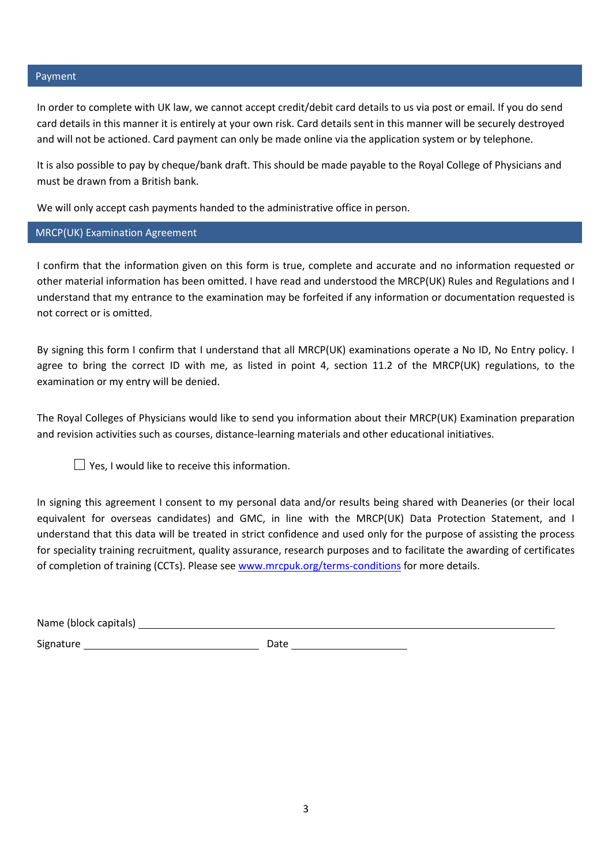## Payment

In order to complete with UK law, we cannot accept credit/debit card details to us via post or email. If you do send card details in this manner it is entirely at your own risk. Card details sent in this manner will be securely destroyed and will not be actioned. Card payment can only be made online via the application system or by telephone.

It is also possible to pay by cheque/bank draft. This should be made payable to the Royal College of Physicians and must be drawn from a British bank.

We will only accept cash payments handed to the administrative office in person.

MRCP(UK) Examination Agreement

I confirm that the information given on this form is true, complete and accurate and no information requested or other material information has been omitted. I have read and understood the MRCP(UK) Rules and Regulations and I understand that my entrance to the examination may be forfeited if any information or documentation requested is not correct or is omitted.

By signing this form I confirm that I understand that all MRCP(UK) examinations operate a No ID, No Entry policy. I agree to bring the correct ID with me, as listed in point 4, section 11.2 of the MRCP(UK) regulations, to the examination or my entry will be denied.

The Royal Colleges of Physicians would like to send you information about their MRCP(UK) Examination preparation and revision activities such as courses, distance-learning materials and other educational initiatives.

 $\Box$  Yes, I would like to receive this information.

In signing this agreement I consent to my personal data and/or results being shared with Deaneries (or their local equivalent for overseas candidates) and GMC, in line with the MRCP(UK) Data Protection Statement, and I understand that this data will be treated in strict confidence and used only for the purpose of assisting the process for speciality training recruitment, quality assurance, research purposes and to facilitate the awarding of certificates of completion of training (CCTs). Please see [www.mrcpuk.org/terms-conditions](http://www.mrcpuk.org/terms-conditions) for more details.

| Name (block capitals) |  |
|-----------------------|--|
|                       |  |

Signature Date Date